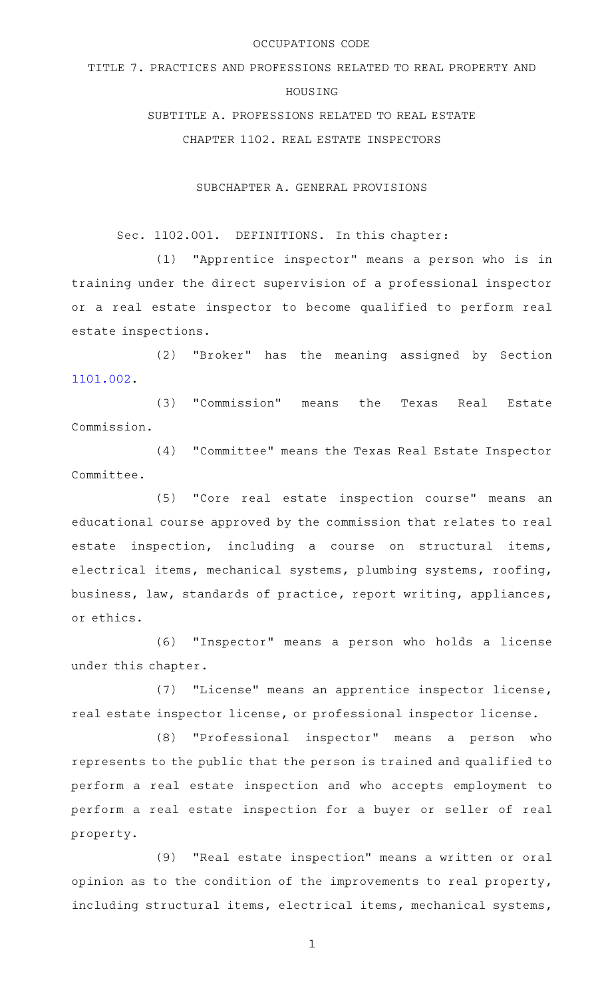#### OCCUPATIONS CODE

# TITLE 7. PRACTICES AND PROFESSIONS RELATED TO REAL PROPERTY AND

# HOUSING

SUBTITLE A. PROFESSIONS RELATED TO REAL ESTATE

CHAPTER 1102. REAL ESTATE INSPECTORS

SUBCHAPTER A. GENERAL PROVISIONS

Sec. 1102.001. DEFINITIONS. In this chapter:

(1) "Apprentice inspector" means a person who is in training under the direct supervision of a professional inspector or a real estate inspector to become qualified to perform real estate inspections.

(2) "Broker" has the meaning assigned by Section [1101.002](http://www.statutes.legis.state.tx.us/GetStatute.aspx?Code=OC&Value=1101.002).

(3) "Commission" means the Texas Real Estate Commission.

(4) "Committee" means the Texas Real Estate Inspector Committee.

(5) "Core real estate inspection course" means an educational course approved by the commission that relates to real estate inspection, including a course on structural items, electrical items, mechanical systems, plumbing systems, roofing, business, law, standards of practice, report writing, appliances, or ethics.

(6) "Inspector" means a person who holds a license under this chapter.

(7) "License" means an apprentice inspector license, real estate inspector license, or professional inspector license.

(8) "Professional inspector" means a person who represents to the public that the person is trained and qualified to perform a real estate inspection and who accepts employment to perform a real estate inspection for a buyer or seller of real property.

(9) "Real estate inspection" means a written or oral opinion as to the condition of the improvements to real property, including structural items, electrical items, mechanical systems,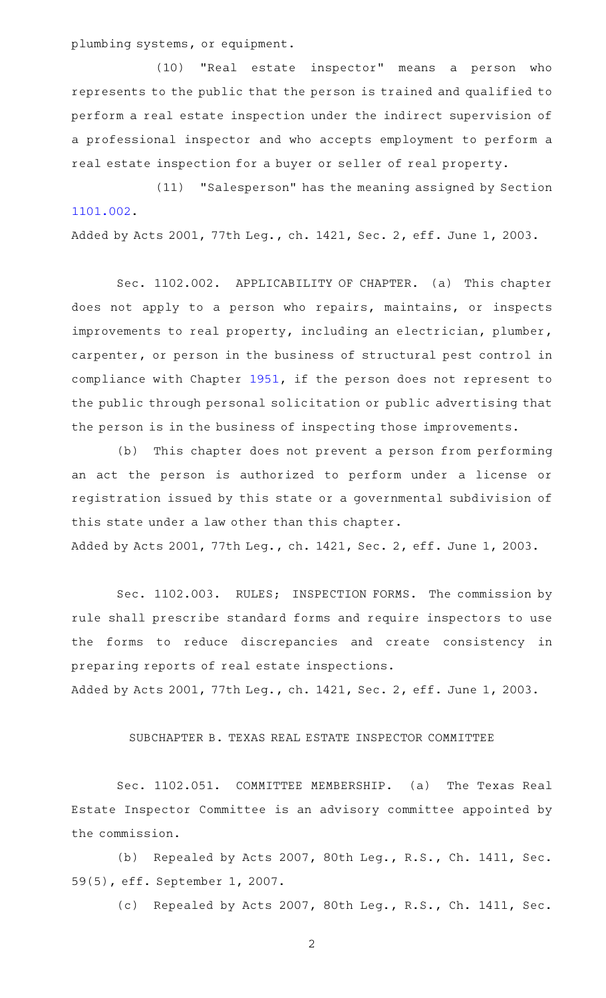plumbing systems, or equipment.

(10) "Real estate inspector" means a person who represents to the public that the person is trained and qualified to perform a real estate inspection under the indirect supervision of a professional inspector and who accepts employment to perform a real estate inspection for a buyer or seller of real property.

(11) "Salesperson" has the meaning assigned by Section [1101.002](http://www.statutes.legis.state.tx.us/GetStatute.aspx?Code=OC&Value=1101.002).

Added by Acts 2001, 77th Leg., ch. 1421, Sec. 2, eff. June 1, 2003.

Sec. 1102.002. APPLICABILITY OF CHAPTER. (a) This chapter does not apply to a person who repairs, maintains, or inspects improvements to real property, including an electrician, plumber, carpenter, or person in the business of structural pest control in compliance with Chapter [1951,](http://www.statutes.legis.state.tx.us/GetStatute.aspx?Code=OC&Value=1951) if the person does not represent to the public through personal solicitation or public advertising that the person is in the business of inspecting those improvements.

(b) This chapter does not prevent a person from performing an act the person is authorized to perform under a license or registration issued by this state or a governmental subdivision of this state under a law other than this chapter. Added by Acts 2001, 77th Leg., ch. 1421, Sec. 2, eff. June 1, 2003.

Sec. 1102.003. RULES; INSPECTION FORMS. The commission by rule shall prescribe standard forms and require inspectors to use the forms to reduce discrepancies and create consistency in preparing reports of real estate inspections.

Added by Acts 2001, 77th Leg., ch. 1421, Sec. 2, eff. June 1, 2003.

# SUBCHAPTER B. TEXAS REAL ESTATE INSPECTOR COMMITTEE

Sec. 1102.051. COMMITTEE MEMBERSHIP. (a) The Texas Real Estate Inspector Committee is an advisory committee appointed by the commission.

(b) Repealed by Acts 2007, 80th Leg., R.S., Ch. 1411, Sec. 59(5), eff. September 1, 2007.

(c) Repealed by Acts 2007, 80th Leg., R.S., Ch. 1411, Sec.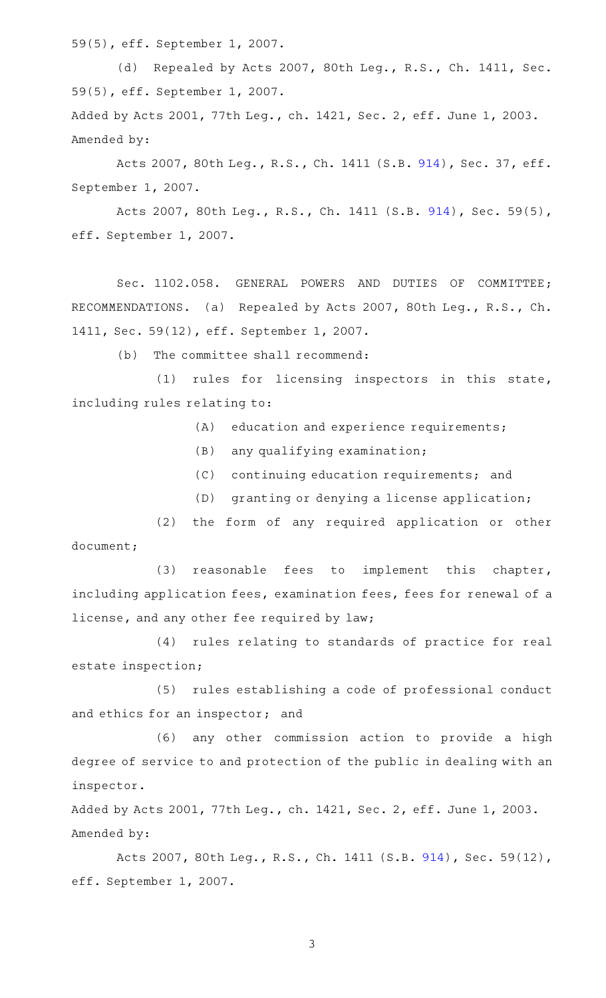59(5), eff. September 1, 2007.

(d) Repealed by Acts 2007, 80th Leg., R.S., Ch. 1411, Sec. 59(5), eff. September 1, 2007. Added by Acts 2001, 77th Leg., ch. 1421, Sec. 2, eff. June 1, 2003. Amended by:

Acts 2007, 80th Leg., R.S., Ch. 1411 (S.B. [914\)](http://www.legis.state.tx.us/tlodocs/80R/billtext/html/SB00914F.HTM), Sec. 37, eff. September 1, 2007.

Acts 2007, 80th Leg., R.S., Ch. 1411 (S.B. [914\)](http://www.legis.state.tx.us/tlodocs/80R/billtext/html/SB00914F.HTM), Sec. 59(5), eff. September 1, 2007.

Sec. 1102.058. GENERAL POWERS AND DUTIES OF COMMITTEE; RECOMMENDATIONS. (a) Repealed by Acts 2007, 80th Leg., R.S., Ch. 1411, Sec. 59(12), eff. September 1, 2007.

(b) The committee shall recommend:

 $(1)$  rules for licensing inspectors in this state, including rules relating to:

 $(A)$  education and experience requirements;

- $(B)$  any qualifying examination;
- (C) continuing education requirements; and
- (D) granting or denying a license application;

(2) the form of any required application or other document;

(3) reasonable fees to implement this chapter, including application fees, examination fees, fees for renewal of a license, and any other fee required by law;

(4) rules relating to standards of practice for real estate inspection;

(5) rules establishing a code of professional conduct and ethics for an inspector; and

(6) any other commission action to provide a high degree of service to and protection of the public in dealing with an inspector.

Added by Acts 2001, 77th Leg., ch. 1421, Sec. 2, eff. June 1, 2003. Amended by:

Acts 2007, 80th Leg., R.S., Ch. 1411 (S.B. [914\)](http://www.legis.state.tx.us/tlodocs/80R/billtext/html/SB00914F.HTM), Sec. 59(12), eff. September 1, 2007.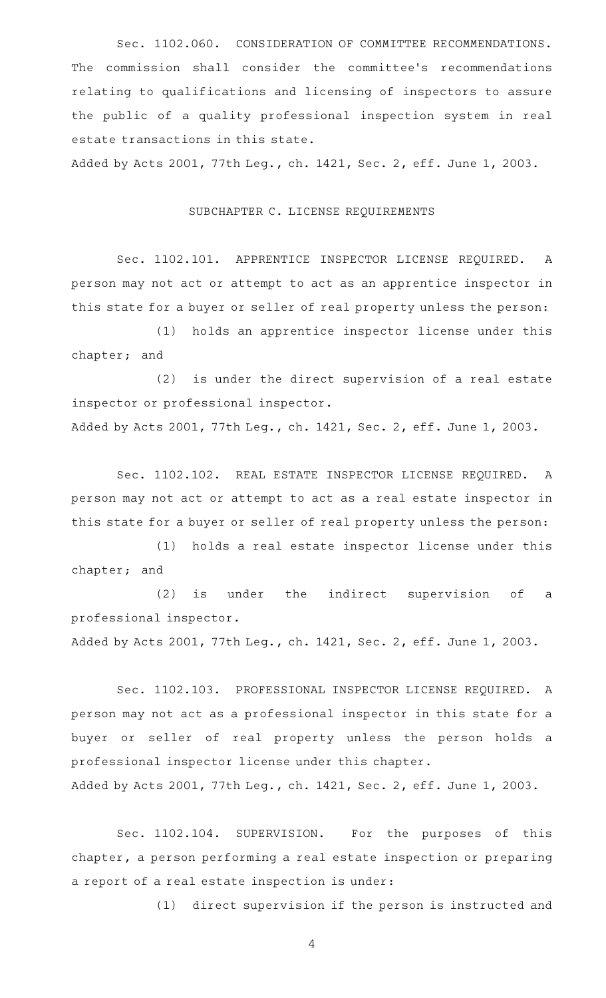Sec. 1102.060. CONSIDERATION OF COMMITTEE RECOMMENDATIONS. The commission shall consider the committee's recommendations relating to qualifications and licensing of inspectors to assure the public of a quality professional inspection system in real estate transactions in this state.

Added by Acts 2001, 77th Leg., ch. 1421, Sec. 2, eff. June 1, 2003.

# SUBCHAPTER C. LICENSE REQUIREMENTS

Sec. 1102.101. APPRENTICE INSPECTOR LICENSE REQUIRED. A person may not act or attempt to act as an apprentice inspector in this state for a buyer or seller of real property unless the person:

(1) holds an apprentice inspector license under this chapter; and

 $(2)$  is under the direct supervision of a real estate inspector or professional inspector.

Added by Acts 2001, 77th Leg., ch. 1421, Sec. 2, eff. June 1, 2003.

Sec. 1102.102. REAL ESTATE INSPECTOR LICENSE REQUIRED. A person may not act or attempt to act as a real estate inspector in this state for a buyer or seller of real property unless the person:

(1) holds a real estate inspector license under this chapter; and

 $(2)$  is under the indirect supervision of a professional inspector.

Added by Acts 2001, 77th Leg., ch. 1421, Sec. 2, eff. June 1, 2003.

Sec. 1102.103. PROFESSIONAL INSPECTOR LICENSE REQUIRED. A person may not act as a professional inspector in this state for a buyer or seller of real property unless the person holds a professional inspector license under this chapter. Added by Acts 2001, 77th Leg., ch. 1421, Sec. 2, eff. June 1, 2003.

Sec. 1102.104. SUPERVISION. For the purposes of this chapter, a person performing a real estate inspection or preparing a report of a real estate inspection is under:

(1) direct supervision if the person is instructed and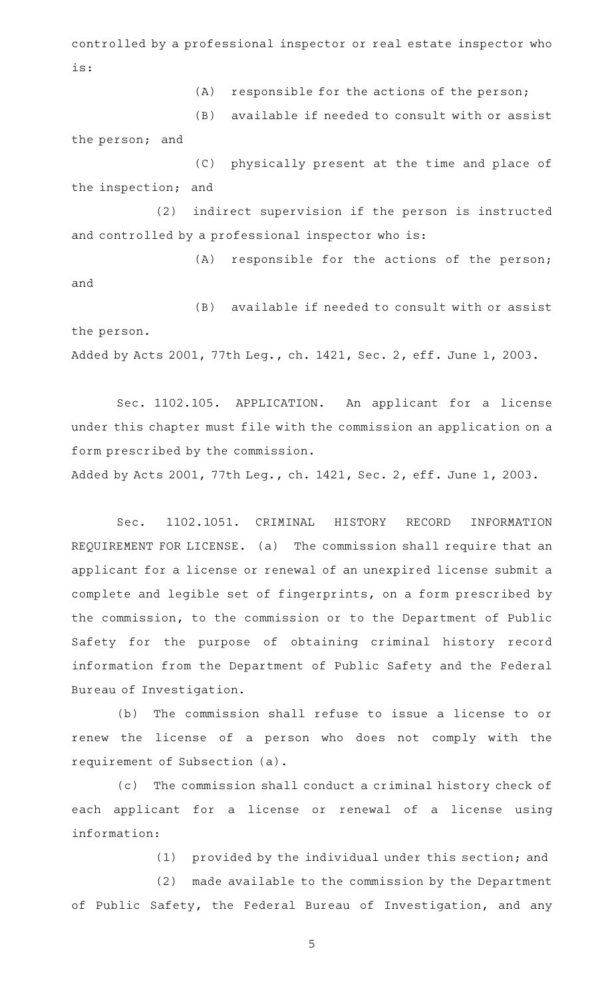controlled by a professional inspector or real estate inspector who is:

 $(A)$  responsible for the actions of the person;

(B) available if needed to consult with or assist

the person; and

(C) physically present at the time and place of the inspection; and

(2) indirect supervision if the person is instructed and controlled by a professional inspector who is:

 $(A)$  responsible for the actions of the person; and

(B) available if needed to consult with or assist the person. Added by Acts 2001, 77th Leg., ch. 1421, Sec. 2, eff. June 1, 2003.

Sec. 1102.105. APPLICATION. An applicant for a license under this chapter must file with the commission an application on a form prescribed by the commission.

Added by Acts 2001, 77th Leg., ch. 1421, Sec. 2, eff. June 1, 2003.

Sec. 1102.1051. CRIMINAL HISTORY RECORD INFORMATION REQUIREMENT FOR LICENSE. (a) The commission shall require that an applicant for a license or renewal of an unexpired license submit a complete and legible set of fingerprints, on a form prescribed by the commission, to the commission or to the Department of Public Safety for the purpose of obtaining criminal history record information from the Department of Public Safety and the Federal Bureau of Investigation.

(b) The commission shall refuse to issue a license to or renew the license of a person who does not comply with the requirement of Subsection (a).

(c) The commission shall conduct a criminal history check of each applicant for a license or renewal of a license using information:

 $(1)$  provided by the individual under this section; and

(2) made available to the commission by the Department of Public Safety, the Federal Bureau of Investigation, and any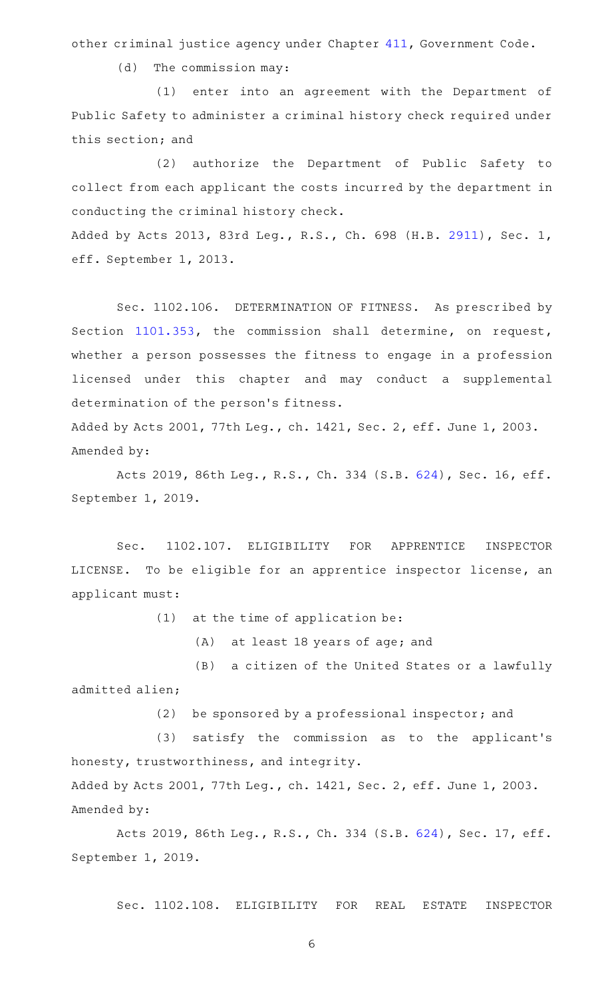other criminal justice agency under Chapter [411,](http://www.statutes.legis.state.tx.us/GetStatute.aspx?Code=GV&Value=411) Government Code.

 $(d)$  The commission may:

(1) enter into an agreement with the Department of Public Safety to administer a criminal history check required under this section; and

(2) authorize the Department of Public Safety to collect from each applicant the costs incurred by the department in conducting the criminal history check.

Added by Acts 2013, 83rd Leg., R.S., Ch. 698 (H.B. [2911](http://www.legis.state.tx.us/tlodocs/83R/billtext/html/HB02911F.HTM)), Sec. 1, eff. September 1, 2013.

Sec. 1102.106. DETERMINATION OF FITNESS. As prescribed by Section [1101.353](http://www.statutes.legis.state.tx.us/GetStatute.aspx?Code=OC&Value=1101.353), the commission shall determine, on request, whether a person possesses the fitness to engage in a profession licensed under this chapter and may conduct a supplemental determination of the person 's fitness.

Added by Acts 2001, 77th Leg., ch. 1421, Sec. 2, eff. June 1, 2003. Amended by:

Acts 2019, 86th Leg., R.S., Ch. 334 (S.B. [624\)](http://www.legis.state.tx.us/tlodocs/86R/billtext/html/SB00624F.HTM), Sec. 16, eff. September 1, 2019.

Sec. 1102.107. ELIGIBILITY FOR APPRENTICE INSPECTOR LICENSE. To be eligible for an apprentice inspector license, an applicant must:

 $(1)$  at the time of application be:

(A) at least 18 years of age; and

(B) a citizen of the United States or a lawfully admitted alien;

 $(2)$  be sponsored by a professional inspector; and

(3) satisfy the commission as to the applicant's honesty, trustworthiness, and integrity.

Added by Acts 2001, 77th Leg., ch. 1421, Sec. 2, eff. June 1, 2003. Amended by:

Acts 2019, 86th Leg., R.S., Ch. 334 (S.B. [624\)](http://www.legis.state.tx.us/tlodocs/86R/billtext/html/SB00624F.HTM), Sec. 17, eff. September 1, 2019.

Sec. 1102.108. ELIGIBILITY FOR REAL ESTATE INSPECTOR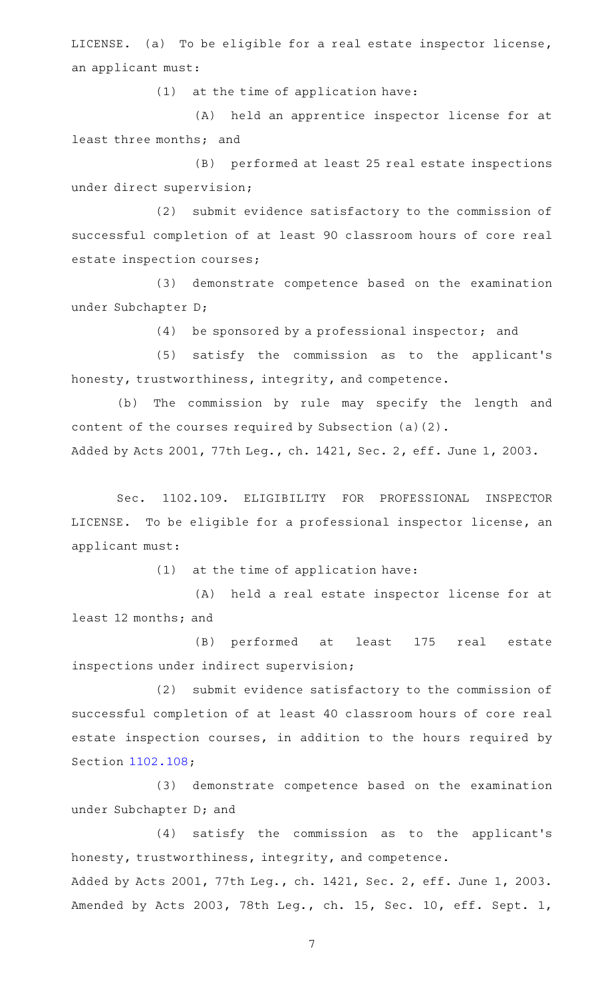LICENSE. (a) To be eligible for a real estate inspector license, an applicant must:

 $(1)$  at the time of application have:

(A) held an apprentice inspector license for at least three months; and

(B) performed at least 25 real estate inspections under direct supervision;

(2) submit evidence satisfactory to the commission of successful completion of at least 90 classroom hours of core real estate inspection courses;

(3) demonstrate competence based on the examination under Subchapter D;

 $(4)$  be sponsored by a professional inspector; and

(5) satisfy the commission as to the applicant's honesty, trustworthiness, integrity, and competence.

(b) The commission by rule may specify the length and content of the courses required by Subsection (a)(2).

Added by Acts 2001, 77th Leg., ch. 1421, Sec. 2, eff. June 1, 2003.

Sec. 1102.109. ELIGIBILITY FOR PROFESSIONAL INSPECTOR LICENSE. To be eligible for a professional inspector license, an applicant must:

 $(1)$  at the time of application have:

(A) held a real estate inspector license for at least 12 months; and

(B) performed at least 175 real estate inspections under indirect supervision;

(2) submit evidence satisfactory to the commission of successful completion of at least 40 classroom hours of core real estate inspection courses, in addition to the hours required by Section [1102.108](http://www.statutes.legis.state.tx.us/GetStatute.aspx?Code=OC&Value=1102.108);

(3) demonstrate competence based on the examination under Subchapter D; and

(4) satisfy the commission as to the applicant's honesty, trustworthiness, integrity, and competence.

Added by Acts 2001, 77th Leg., ch. 1421, Sec. 2, eff. June 1, 2003. Amended by Acts 2003, 78th Leg., ch. 15, Sec. 10, eff. Sept. 1,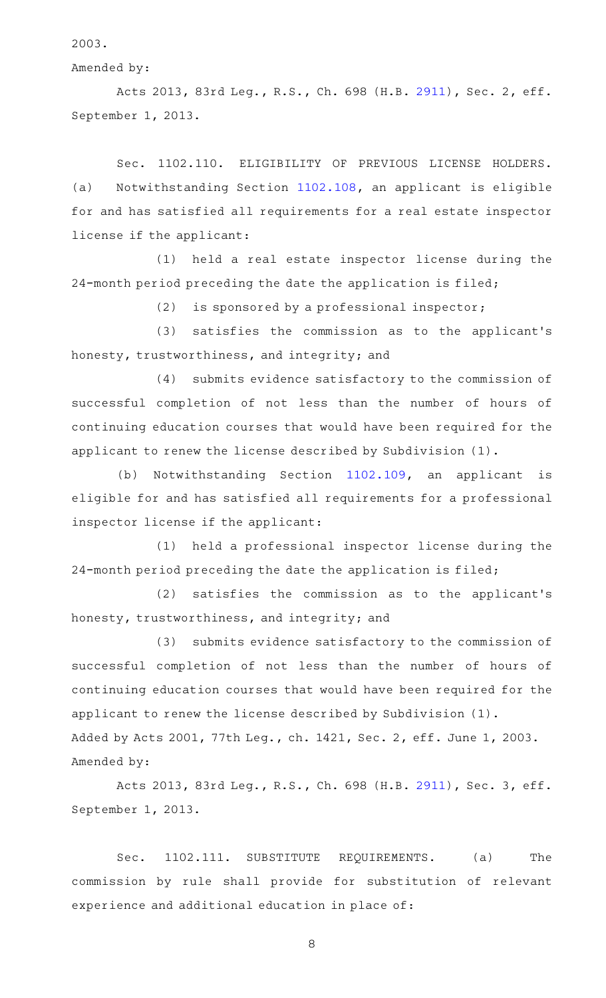2003.

Amended by:

Acts 2013, 83rd Leg., R.S., Ch. 698 (H.B. [2911](http://www.legis.state.tx.us/tlodocs/83R/billtext/html/HB02911F.HTM)), Sec. 2, eff. September 1, 2013.

Sec. 1102.110. ELIGIBILITY OF PREVIOUS LICENSE HOLDERS. (a) Notwithstanding Section [1102.108,](http://www.statutes.legis.state.tx.us/GetStatute.aspx?Code=OC&Value=1102.108) an applicant is eligible for and has satisfied all requirements for a real estate inspector license if the applicant:

(1) held a real estate inspector license during the 24-month period preceding the date the application is filed;

(2) is sponsored by a professional inspector;

(3) satisfies the commission as to the applicant's honesty, trustworthiness, and integrity; and

(4) submits evidence satisfactory to the commission of successful completion of not less than the number of hours of continuing education courses that would have been required for the applicant to renew the license described by Subdivision (1).

(b) Notwithstanding Section [1102.109,](http://www.statutes.legis.state.tx.us/GetStatute.aspx?Code=OC&Value=1102.109) an applicant is eligible for and has satisfied all requirements for a professional inspector license if the applicant:

(1) held a professional inspector license during the 24-month period preceding the date the application is filed;

(2) satisfies the commission as to the applicant's honesty, trustworthiness, and integrity; and

(3) submits evidence satisfactory to the commission of successful completion of not less than the number of hours of continuing education courses that would have been required for the applicant to renew the license described by Subdivision (1). Added by Acts 2001, 77th Leg., ch. 1421, Sec. 2, eff. June 1, 2003. Amended by:

Acts 2013, 83rd Leg., R.S., Ch. 698 (H.B. [2911](http://www.legis.state.tx.us/tlodocs/83R/billtext/html/HB02911F.HTM)), Sec. 3, eff. September 1, 2013.

Sec. 1102.111. SUBSTITUTE REQUIREMENTS. (a) The commission by rule shall provide for substitution of relevant experience and additional education in place of: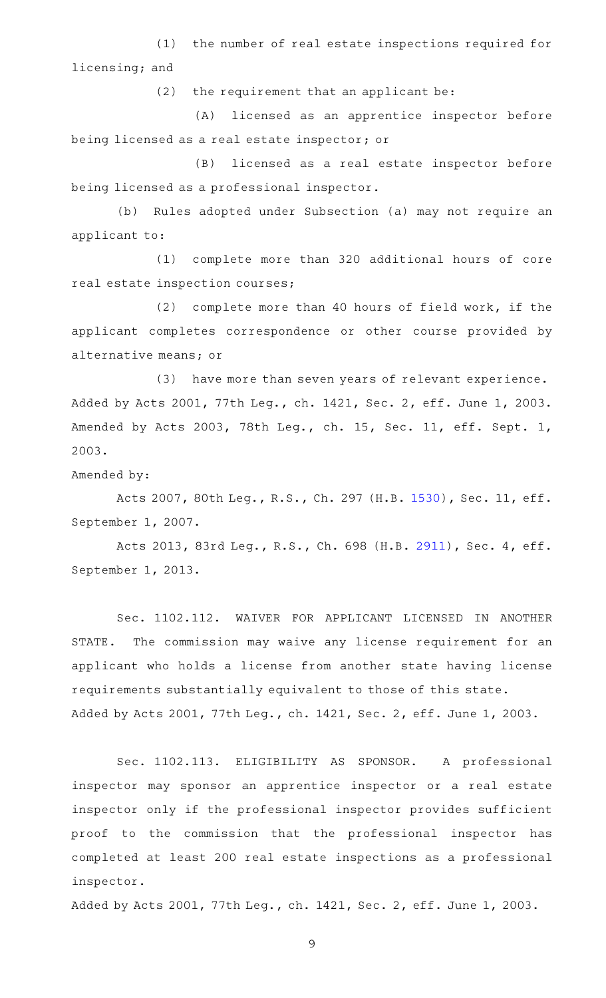(1) the number of real estate inspections required for licensing; and

 $(2)$  the requirement that an applicant be:

(A) licensed as an apprentice inspector before being licensed as a real estate inspector; or

(B) licensed as a real estate inspector before being licensed as a professional inspector.

(b) Rules adopted under Subsection (a) may not require an applicant to:

(1) complete more than 320 additional hours of core real estate inspection courses;

(2) complete more than 40 hours of field work, if the applicant completes correspondence or other course provided by alternative means; or

(3) have more than seven years of relevant experience. Added by Acts 2001, 77th Leg., ch. 1421, Sec. 2, eff. June 1, 2003. Amended by Acts 2003, 78th Leg., ch. 15, Sec. 11, eff. Sept. 1, 2003.

Amended by:

Acts 2007, 80th Leg., R.S., Ch. 297 (H.B. [1530\)](http://www.legis.state.tx.us/tlodocs/80R/billtext/html/HB01530F.HTM), Sec. 11, eff. September 1, 2007.

Acts 2013, 83rd Leg., R.S., Ch. 698 (H.B. [2911](http://www.legis.state.tx.us/tlodocs/83R/billtext/html/HB02911F.HTM)), Sec. 4, eff. September 1, 2013.

Sec. 1102.112. WAIVER FOR APPLICANT LICENSED IN ANOTHER STATE. The commission may waive any license requirement for an applicant who holds a license from another state having license requirements substantially equivalent to those of this state. Added by Acts 2001, 77th Leg., ch. 1421, Sec. 2, eff. June 1, 2003.

Sec. 1102.113. ELIGIBILITY AS SPONSOR. A professional inspector may sponsor an apprentice inspector or a real estate inspector only if the professional inspector provides sufficient proof to the commission that the professional inspector has completed at least 200 real estate inspections as a professional inspector.

Added by Acts 2001, 77th Leg., ch. 1421, Sec. 2, eff. June 1, 2003.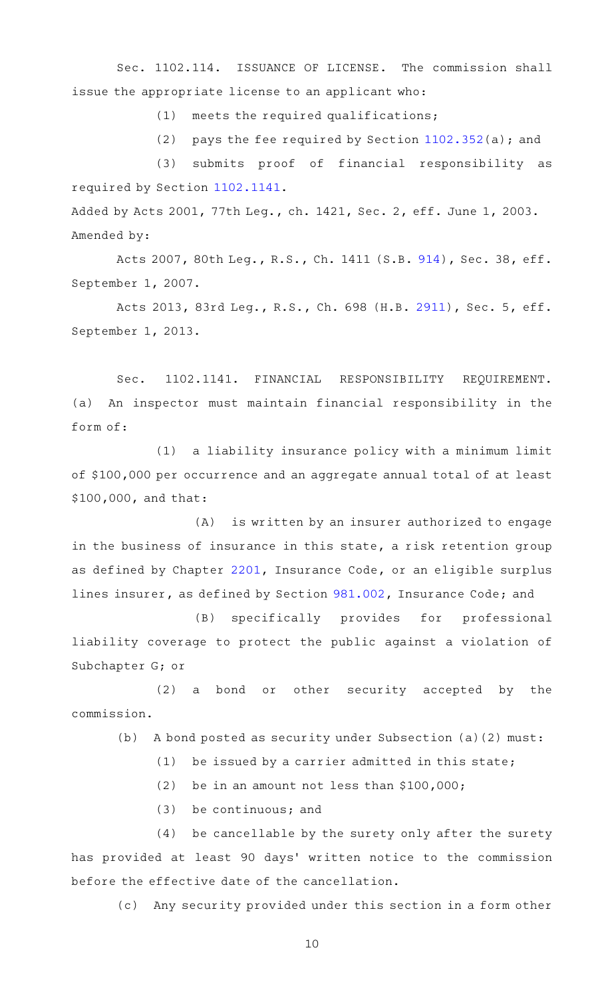Sec. 1102.114. ISSUANCE OF LICENSE. The commission shall issue the appropriate license to an applicant who:

 $(1)$  meets the required qualifications;

(2) pays the fee required by Section  $1102.352(a)$  $1102.352(a)$ ; and

(3) submits proof of financial responsibility as required by Section [1102.1141](http://www.statutes.legis.state.tx.us/GetStatute.aspx?Code=OC&Value=1102.1141).

Added by Acts 2001, 77th Leg., ch. 1421, Sec. 2, eff. June 1, 2003. Amended by:

Acts 2007, 80th Leg., R.S., Ch. 1411 (S.B. [914\)](http://www.legis.state.tx.us/tlodocs/80R/billtext/html/SB00914F.HTM), Sec. 38, eff. September 1, 2007.

Acts 2013, 83rd Leg., R.S., Ch. 698 (H.B. [2911](http://www.legis.state.tx.us/tlodocs/83R/billtext/html/HB02911F.HTM)), Sec. 5, eff. September 1, 2013.

Sec. 1102.1141. FINANCIAL RESPONSIBILITY REQUIREMENT. (a) An inspector must maintain financial responsibility in the form of:

 $(1)$  a liability insurance policy with a minimum limit of \$100,000 per occurrence and an aggregate annual total of at least \$100,000, and that:

(A) is written by an insurer authorized to engage in the business of insurance in this state, a risk retention group as defined by Chapter [2201](http://www.statutes.legis.state.tx.us/GetStatute.aspx?Code=IN&Value=2201), Insurance Code, or an eligible surplus lines insurer, as defined by Section [981.002](http://www.statutes.legis.state.tx.us/GetStatute.aspx?Code=IN&Value=981.002), Insurance Code; and

(B) specifically provides for professional liability coverage to protect the public against a violation of Subchapter G; or

(2) a bond or other security accepted by the commission.

(b) A bond posted as security under Subsection (a)(2) must:

 $(1)$  be issued by a carrier admitted in this state;

(2) be in an amount not less than  $$100,000;$ 

 $(3)$  be continuous; and

(4) be cancellable by the surety only after the surety has provided at least 90 days' written notice to the commission before the effective date of the cancellation.

(c) Any security provided under this section in a form other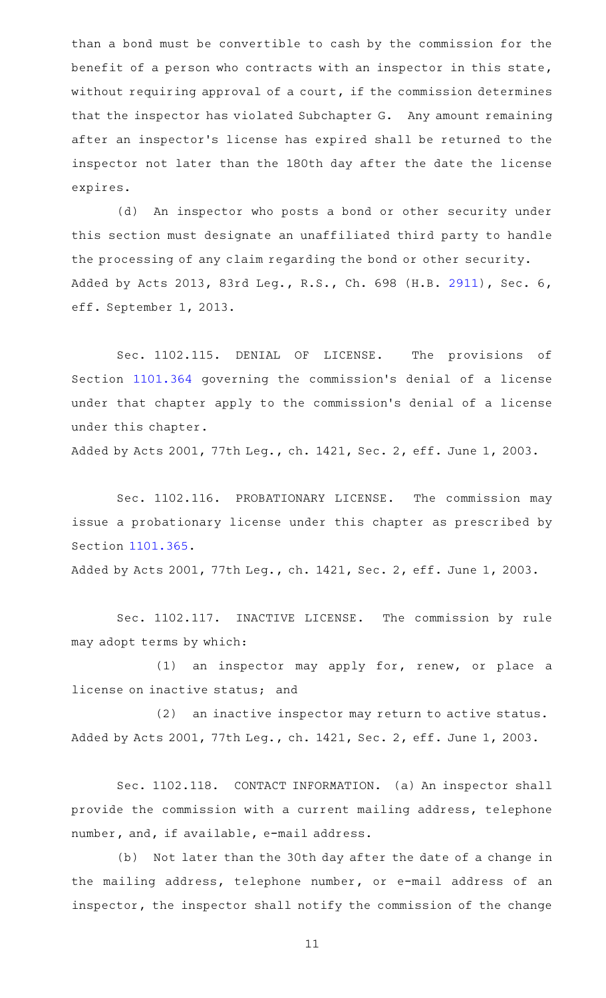than a bond must be convertible to cash by the commission for the benefit of a person who contracts with an inspector in this state, without requiring approval of a court, if the commission determines that the inspector has violated Subchapter G. Any amount remaining after an inspector 's license has expired shall be returned to the inspector not later than the 180th day after the date the license expires.

(d) An inspector who posts a bond or other security under this section must designate an unaffiliated third party to handle the processing of any claim regarding the bond or other security. Added by Acts 2013, 83rd Leg., R.S., Ch. 698 (H.B. [2911](http://www.legis.state.tx.us/tlodocs/83R/billtext/html/HB02911F.HTM)), Sec. 6, eff. September 1, 2013.

Sec. 1102.115. DENIAL OF LICENSE. The provisions of Section [1101.364](http://www.statutes.legis.state.tx.us/GetStatute.aspx?Code=OC&Value=1101.364) governing the commission 's denial of a license under that chapter apply to the commission 's denial of a license under this chapter.

Added by Acts 2001, 77th Leg., ch. 1421, Sec. 2, eff. June 1, 2003.

Sec. 1102.116. PROBATIONARY LICENSE. The commission may issue a probationary license under this chapter as prescribed by Section [1101.365](http://www.statutes.legis.state.tx.us/GetStatute.aspx?Code=OC&Value=1101.365).

Added by Acts 2001, 77th Leg., ch. 1421, Sec. 2, eff. June 1, 2003.

Sec. 1102.117. INACTIVE LICENSE. The commission by rule may adopt terms by which:

 $(1)$  an inspector may apply for, renew, or place a license on inactive status; and

(2) an inactive inspector may return to active status. Added by Acts 2001, 77th Leg., ch. 1421, Sec. 2, eff. June 1, 2003.

Sec. 1102.118. CONTACT INFORMATION. (a) An inspector shall provide the commission with a current mailing address, telephone number, and, if available, e-mail address.

(b) Not later than the 30th day after the date of a change in the mailing address, telephone number, or e-mail address of an inspector, the inspector shall notify the commission of the change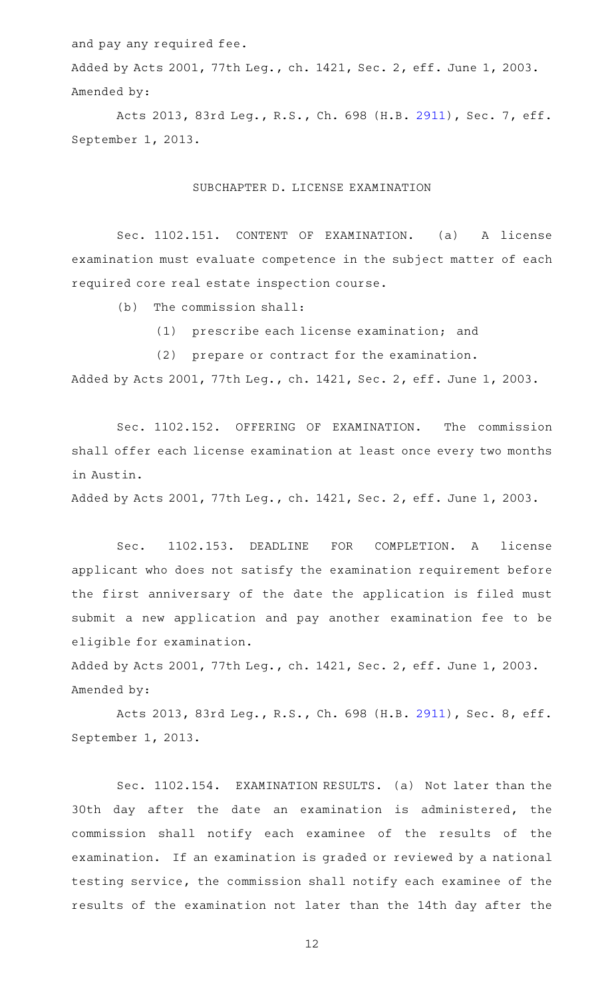and pay any required fee.

Added by Acts 2001, 77th Leg., ch. 1421, Sec. 2, eff. June 1, 2003. Amended by:

Acts 2013, 83rd Leg., R.S., Ch. 698 (H.B. [2911](http://www.legis.state.tx.us/tlodocs/83R/billtext/html/HB02911F.HTM)), Sec. 7, eff. September 1, 2013.

#### SUBCHAPTER D. LICENSE EXAMINATION

Sec. 1102.151. CONTENT OF EXAMINATION. (a) A license examination must evaluate competence in the subject matter of each required core real estate inspection course.

 $(b)$  The commission shall:

(1) prescribe each license examination; and

(2) prepare or contract for the examination.

Added by Acts 2001, 77th Leg., ch. 1421, Sec. 2, eff. June 1, 2003.

Sec. 1102.152. OFFERING OF EXAMINATION. The commission shall offer each license examination at least once every two months in Austin.

Added by Acts 2001, 77th Leg., ch. 1421, Sec. 2, eff. June 1, 2003.

Sec. 1102.153. DEADLINE FOR COMPLETION. A license applicant who does not satisfy the examination requirement before the first anniversary of the date the application is filed must submit a new application and pay another examination fee to be eligible for examination.

Added by Acts 2001, 77th Leg., ch. 1421, Sec. 2, eff. June 1, 2003. Amended by:

Acts 2013, 83rd Leg., R.S., Ch. 698 (H.B. [2911](http://www.legis.state.tx.us/tlodocs/83R/billtext/html/HB02911F.HTM)), Sec. 8, eff. September 1, 2013.

Sec. 1102.154. EXAMINATION RESULTS. (a) Not later than the 30th day after the date an examination is administered, the commission shall notify each examinee of the results of the examination. If an examination is graded or reviewed by a national testing service, the commission shall notify each examinee of the results of the examination not later than the 14th day after the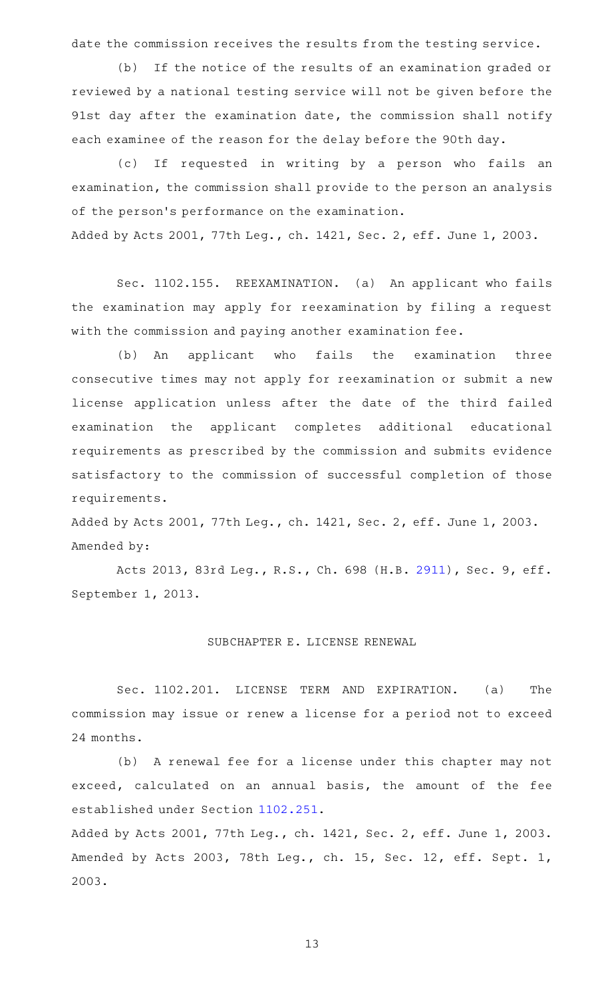date the commission receives the results from the testing service.

(b) If the notice of the results of an examination graded or reviewed by a national testing service will not be given before the 91st day after the examination date, the commission shall notify each examinee of the reason for the delay before the 90th day.

(c) If requested in writing by a person who fails an examination, the commission shall provide to the person an analysis of the person's performance on the examination. Added by Acts 2001, 77th Leg., ch. 1421, Sec. 2, eff. June 1, 2003.

Sec. 1102.155. REEXAMINATION. (a) An applicant who fails the examination may apply for reexamination by filing a request with the commission and paying another examination fee.

(b) An applicant who fails the examination three consecutive times may not apply for reexamination or submit a new license application unless after the date of the third failed examination the applicant completes additional educational requirements as prescribed by the commission and submits evidence satisfactory to the commission of successful completion of those requirements.

Added by Acts 2001, 77th Leg., ch. 1421, Sec. 2, eff. June 1, 2003. Amended by:

Acts 2013, 83rd Leg., R.S., Ch. 698 (H.B. [2911](http://www.legis.state.tx.us/tlodocs/83R/billtext/html/HB02911F.HTM)), Sec. 9, eff. September 1, 2013.

#### SUBCHAPTER E. LICENSE RENEWAL

Sec. 1102.201. LICENSE TERM AND EXPIRATION. (a) The commission may issue or renew a license for a period not to exceed 24 months.

(b) A renewal fee for a license under this chapter may not exceed, calculated on an annual basis, the amount of the fee established under Section [1102.251](http://www.statutes.legis.state.tx.us/GetStatute.aspx?Code=OC&Value=1102.251).

Added by Acts 2001, 77th Leg., ch. 1421, Sec. 2, eff. June 1, 2003. Amended by Acts 2003, 78th Leg., ch. 15, Sec. 12, eff. Sept. 1, 2003.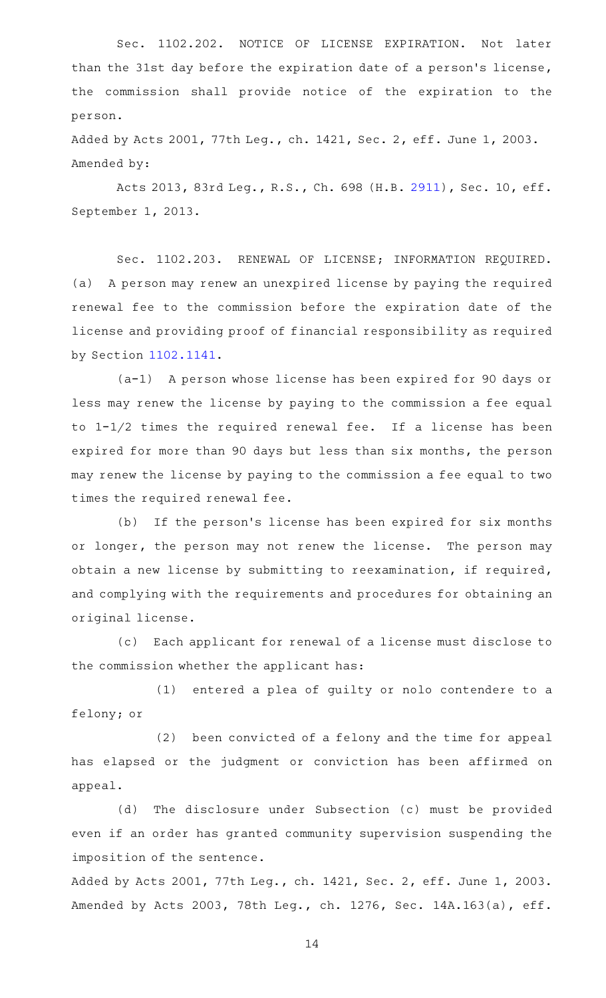Sec. 1102.202. NOTICE OF LICENSE EXPIRATION. Not later than the 31st day before the expiration date of a person's license, the commission shall provide notice of the expiration to the person.

Added by Acts 2001, 77th Leg., ch. 1421, Sec. 2, eff. June 1, 2003. Amended by:

Acts 2013, 83rd Leg., R.S., Ch. 698 (H.B. [2911\)](http://www.legis.state.tx.us/tlodocs/83R/billtext/html/HB02911F.HTM), Sec. 10, eff. September 1, 2013.

Sec. 1102.203. RENEWAL OF LICENSE; INFORMATION REQUIRED. (a) A person may renew an unexpired license by paying the required renewal fee to the commission before the expiration date of the license and providing proof of financial responsibility as required by Section [1102.1141.](http://www.statutes.legis.state.tx.us/GetStatute.aspx?Code=OC&Value=1102.1141)

 $(a-1)$  A person whose license has been expired for 90 days or less may renew the license by paying to the commission a fee equal to  $1-1/2$  times the required renewal fee. If a license has been expired for more than 90 days but less than six months, the person may renew the license by paying to the commission a fee equal to two times the required renewal fee.

(b) If the person's license has been expired for six months or longer, the person may not renew the license. The person may obtain a new license by submitting to reexamination, if required, and complying with the requirements and procedures for obtaining an original license.

(c) Each applicant for renewal of a license must disclose to the commission whether the applicant has:

(1) entered a plea of guilty or nolo contendere to a felony; or

(2) been convicted of a felony and the time for appeal has elapsed or the judgment or conviction has been affirmed on appeal.

(d) The disclosure under Subsection (c) must be provided even if an order has granted community supervision suspending the imposition of the sentence.

Added by Acts 2001, 77th Leg., ch. 1421, Sec. 2, eff. June 1, 2003. Amended by Acts 2003, 78th Leg., ch. 1276, Sec. 14A.163(a), eff.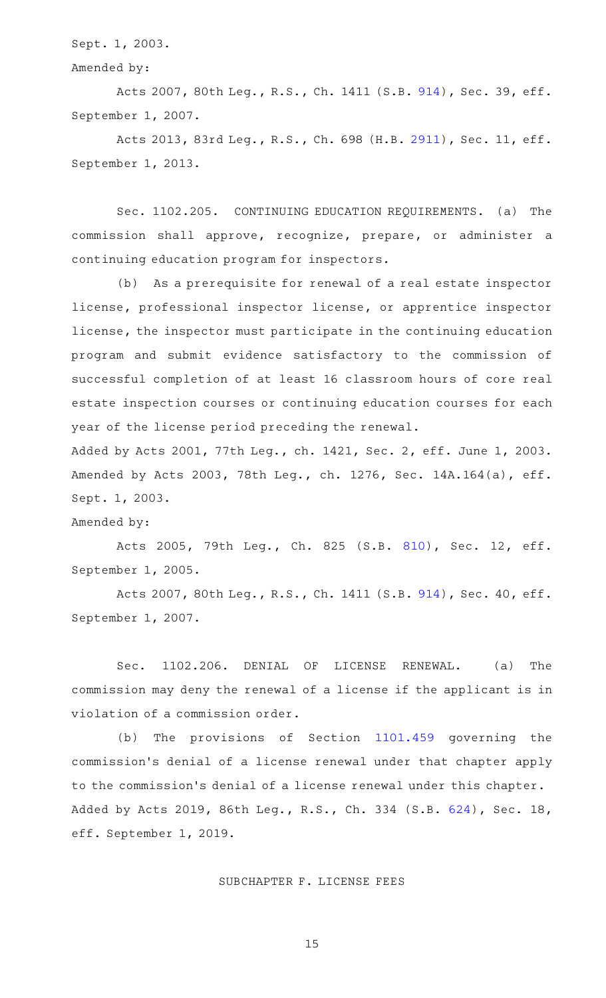Sept. 1, 2003.

# Amended by:

Acts 2007, 80th Leg., R.S., Ch. 1411 (S.B. [914\)](http://www.legis.state.tx.us/tlodocs/80R/billtext/html/SB00914F.HTM), Sec. 39, eff. September 1, 2007.

Acts 2013, 83rd Leg., R.S., Ch. 698 (H.B. [2911\)](http://www.legis.state.tx.us/tlodocs/83R/billtext/html/HB02911F.HTM), Sec. 11, eff. September 1, 2013.

Sec. 1102.205. CONTINUING EDUCATION REQUIREMENTS. (a) The commission shall approve, recognize, prepare, or administer a continuing education program for inspectors.

(b) As a prerequisite for renewal of a real estate inspector license, professional inspector license, or apprentice inspector license, the inspector must participate in the continuing education program and submit evidence satisfactory to the commission of successful completion of at least 16 classroom hours of core real estate inspection courses or continuing education courses for each year of the license period preceding the renewal.

Added by Acts 2001, 77th Leg., ch. 1421, Sec. 2, eff. June 1, 2003. Amended by Acts 2003, 78th Leg., ch. 1276, Sec. 14A.164(a), eff. Sept. 1, 2003.

#### Amended by:

Acts 2005, 79th Leg., Ch. 825 (S.B. [810\)](http://www.legis.state.tx.us/tlodocs/79R/billtext/html/SB00810F.HTM), Sec. 12, eff. September 1, 2005.

Acts 2007, 80th Leg., R.S., Ch. 1411 (S.B. [914\)](http://www.legis.state.tx.us/tlodocs/80R/billtext/html/SB00914F.HTM), Sec. 40, eff. September 1, 2007.

Sec. 1102.206. DENIAL OF LICENSE RENEWAL. (a) The commission may deny the renewal of a license if the applicant is in violation of a commission order.

(b) The provisions of Section [1101.459](http://www.statutes.legis.state.tx.us/GetStatute.aspx?Code=OC&Value=1101.459) governing the commission 's denial of a license renewal under that chapter apply to the commission 's denial of a license renewal under this chapter. Added by Acts 2019, 86th Leg., R.S., Ch. 334 (S.B. [624\)](http://www.legis.state.tx.us/tlodocs/86R/billtext/html/SB00624F.HTM), Sec. 18, eff. September 1, 2019.

#### SUBCHAPTER F. LICENSE FEES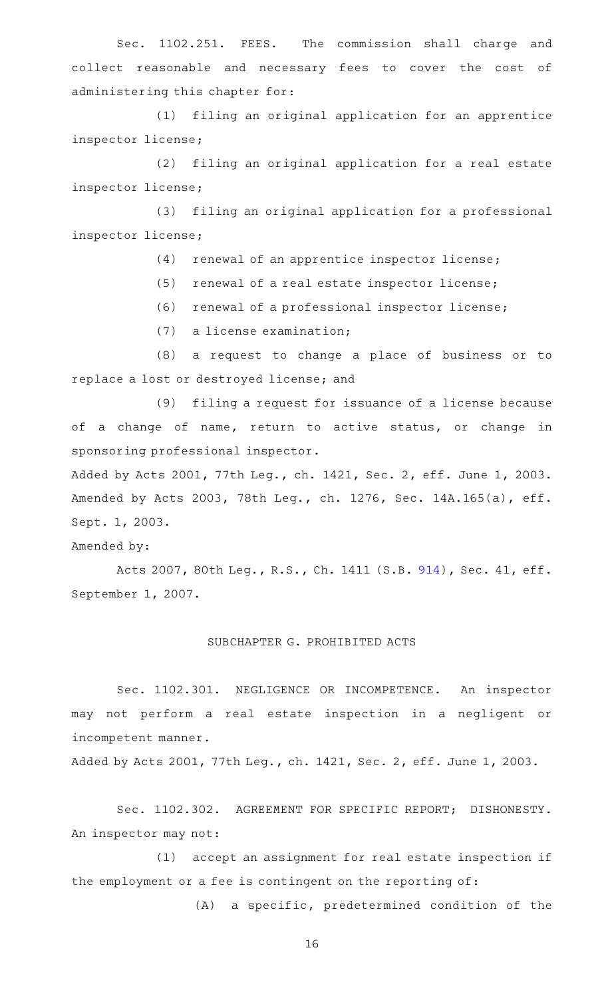Sec. 1102.251. FEES. The commission shall charge and collect reasonable and necessary fees to cover the cost of administering this chapter for:

(1) filing an original application for an apprentice inspector license;

(2) filing an original application for a real estate inspector license;

(3) filing an original application for a professional inspector license;

 $(4)$  renewal of an apprentice inspector license;

 $(5)$  renewal of a real estate inspector license;

(6) renewal of a professional inspector license;

 $(7)$  a license examination;

(8) a request to change a place of business or to replace a lost or destroyed license; and

(9) filing a request for issuance of a license because of a change of name, return to active status, or change in sponsoring professional inspector.

Added by Acts 2001, 77th Leg., ch. 1421, Sec. 2, eff. June 1, 2003. Amended by Acts 2003, 78th Leg., ch. 1276, Sec. 14A.165(a), eff. Sept. 1, 2003.

Amended by:

Acts 2007, 80th Leg., R.S., Ch. 1411 (S.B. [914\)](http://www.legis.state.tx.us/tlodocs/80R/billtext/html/SB00914F.HTM), Sec. 41, eff. September 1, 2007.

#### SUBCHAPTER G. PROHIBITED ACTS

Sec. 1102.301. NEGLIGENCE OR INCOMPETENCE. An inspector may not perform a real estate inspection in a negligent or incompetent manner.

Added by Acts 2001, 77th Leg., ch. 1421, Sec. 2, eff. June 1, 2003.

Sec. 1102.302. AGREEMENT FOR SPECIFIC REPORT; DISHONESTY. An inspector may not:

(1) accept an assignment for real estate inspection if the employment or a fee is contingent on the reporting of:

(A) a specific, predetermined condition of the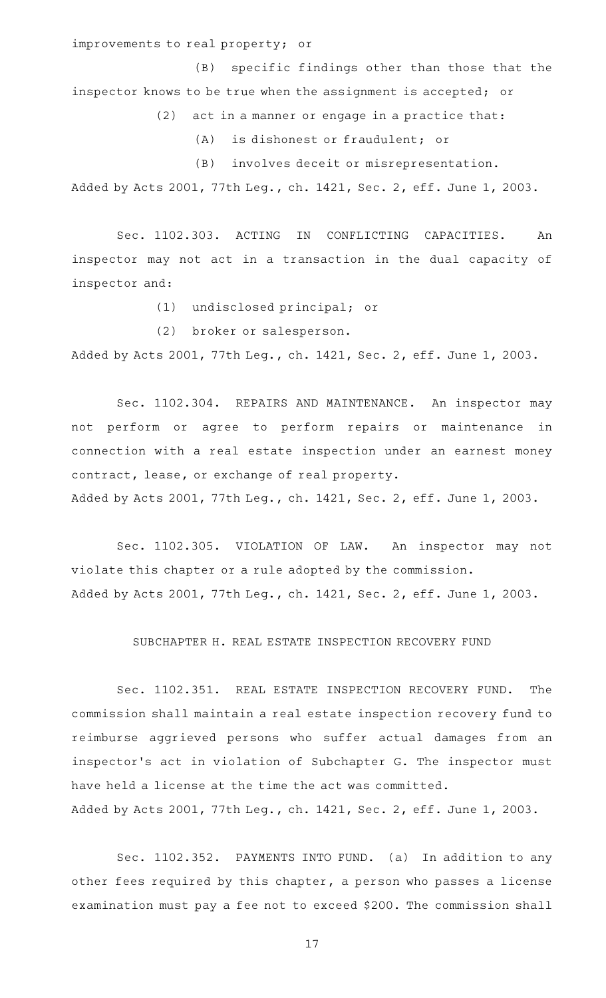improvements to real property; or

(B) specific findings other than those that the inspector knows to be true when the assignment is accepted; or

 $(2)$  act in a manner or engage in a practice that:

(A) is dishonest or fraudulent; or

(B) involves deceit or misrepresentation.

Added by Acts 2001, 77th Leg., ch. 1421, Sec. 2, eff. June 1, 2003.

Sec. 1102.303. ACTING IN CONFLICTING CAPACITIES. An inspector may not act in a transaction in the dual capacity of inspector and:

(1) undisclosed principal; or

(2) broker or salesperson.

Added by Acts 2001, 77th Leg., ch. 1421, Sec. 2, eff. June 1, 2003.

Sec. 1102.304. REPAIRS AND MAINTENANCE. An inspector may not perform or agree to perform repairs or maintenance in connection with a real estate inspection under an earnest money contract, lease, or exchange of real property.

Added by Acts 2001, 77th Leg., ch. 1421, Sec. 2, eff. June 1, 2003.

Sec. 1102.305. VIOLATION OF LAW. An inspector may not violate this chapter or a rule adopted by the commission. Added by Acts 2001, 77th Leg., ch. 1421, Sec. 2, eff. June 1, 2003.

SUBCHAPTER H. REAL ESTATE INSPECTION RECOVERY FUND

Sec. 1102.351. REAL ESTATE INSPECTION RECOVERY FUND. The commission shall maintain a real estate inspection recovery fund to reimburse aggrieved persons who suffer actual damages from an inspector 's act in violation of Subchapter G. The inspector must have held a license at the time the act was committed. Added by Acts 2001, 77th Leg., ch. 1421, Sec. 2, eff. June 1, 2003.

Sec. 1102.352. PAYMENTS INTO FUND. (a) In addition to any other fees required by this chapter, a person who passes a license examination must pay a fee not to exceed \$200. The commission shall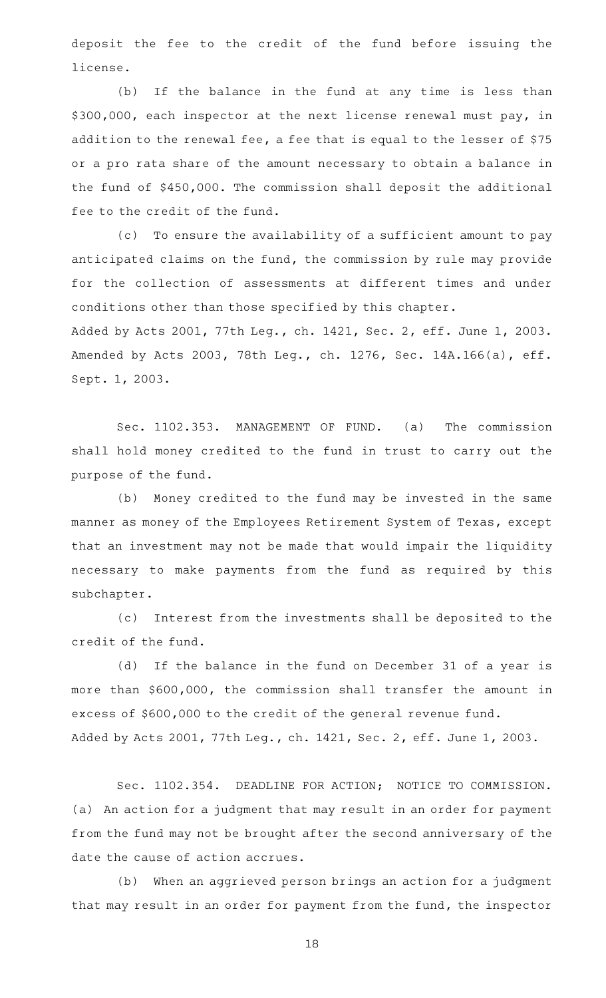deposit the fee to the credit of the fund before issuing the license.

(b) If the balance in the fund at any time is less than \$300,000, each inspector at the next license renewal must pay, in addition to the renewal fee, a fee that is equal to the lesser of \$75 or a pro rata share of the amount necessary to obtain a balance in the fund of \$450,000. The commission shall deposit the additional fee to the credit of the fund.

(c) To ensure the availability of a sufficient amount to pay anticipated claims on the fund, the commission by rule may provide for the collection of assessments at different times and under conditions other than those specified by this chapter.

Added by Acts 2001, 77th Leg., ch. 1421, Sec. 2, eff. June 1, 2003. Amended by Acts 2003, 78th Leg., ch. 1276, Sec. 14A.166(a), eff. Sept. 1, 2003.

Sec. 1102.353. MANAGEMENT OF FUND. (a) The commission shall hold money credited to the fund in trust to carry out the purpose of the fund.

(b) Money credited to the fund may be invested in the same manner as money of the Employees Retirement System of Texas, except that an investment may not be made that would impair the liquidity necessary to make payments from the fund as required by this subchapter.

(c) Interest from the investments shall be deposited to the credit of the fund.

(d) If the balance in the fund on December 31 of a year is more than \$600,000, the commission shall transfer the amount in excess of \$600,000 to the credit of the general revenue fund. Added by Acts 2001, 77th Leg., ch. 1421, Sec. 2, eff. June 1, 2003.

Sec. 1102.354. DEADLINE FOR ACTION; NOTICE TO COMMISSION. (a) An action for a judgment that may result in an order for payment from the fund may not be brought after the second anniversary of the date the cause of action accrues.

(b) When an aggrieved person brings an action for a judgment that may result in an order for payment from the fund, the inspector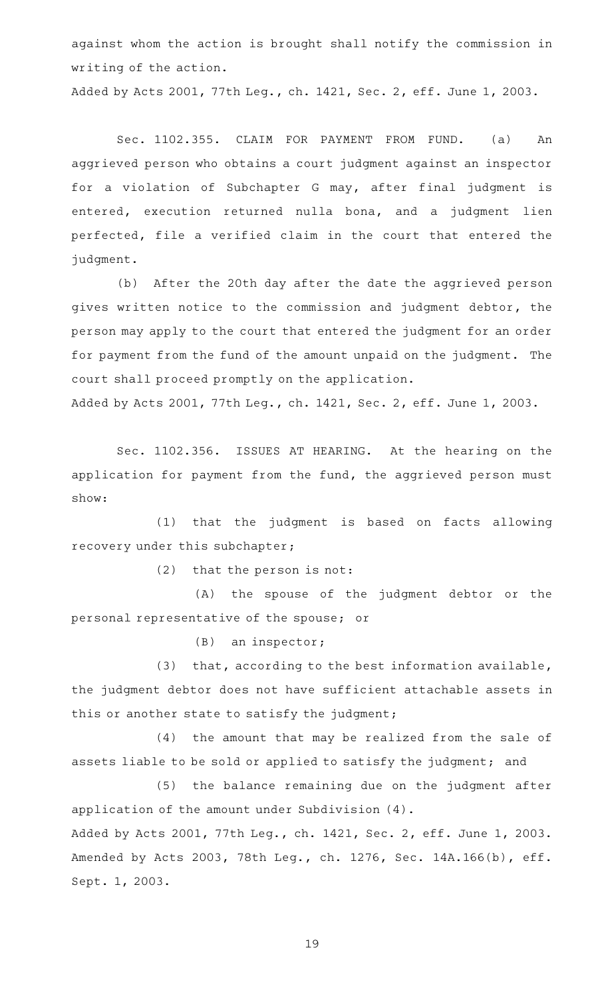against whom the action is brought shall notify the commission in writing of the action.

Added by Acts 2001, 77th Leg., ch. 1421, Sec. 2, eff. June 1, 2003.

Sec. 1102.355. CLAIM FOR PAYMENT FROM FUND. (a) An aggrieved person who obtains a court judgment against an inspector for a violation of Subchapter G may, after final judgment is entered, execution returned nulla bona, and a judgment lien perfected, file a verified claim in the court that entered the judgment.

(b) After the 20th day after the date the aggrieved person gives written notice to the commission and judgment debtor, the person may apply to the court that entered the judgment for an order for payment from the fund of the amount unpaid on the judgment. The court shall proceed promptly on the application.

Added by Acts 2001, 77th Leg., ch. 1421, Sec. 2, eff. June 1, 2003.

Sec. 1102.356. ISSUES AT HEARING. At the hearing on the application for payment from the fund, the aggrieved person must show:

(1) that the judgment is based on facts allowing recovery under this subchapter;

 $(2)$  that the person is not:

(A) the spouse of the judgment debtor or the personal representative of the spouse; or

 $(B)$  an inspector;

(3) that, according to the best information available, the judgment debtor does not have sufficient attachable assets in this or another state to satisfy the judgment;

(4) the amount that may be realized from the sale of assets liable to be sold or applied to satisfy the judgment; and

(5) the balance remaining due on the judgment after application of the amount under Subdivision (4).

Added by Acts 2001, 77th Leg., ch. 1421, Sec. 2, eff. June 1, 2003. Amended by Acts 2003, 78th Leg., ch. 1276, Sec. 14A.166(b), eff. Sept. 1, 2003.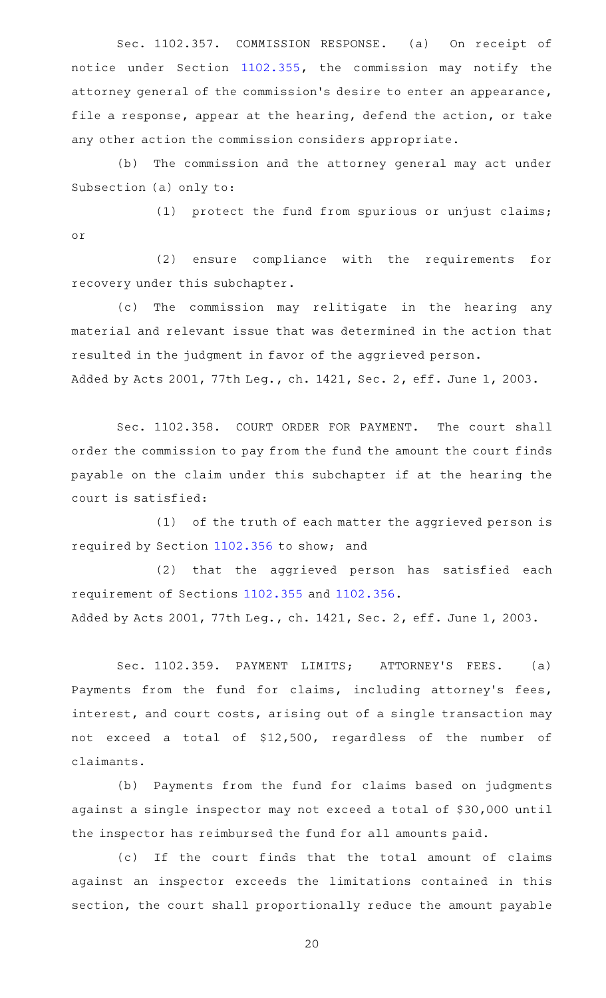Sec. 1102.357. COMMISSION RESPONSE. (a) On receipt of notice under Section [1102.355](http://www.statutes.legis.state.tx.us/GetStatute.aspx?Code=OC&Value=1102.355), the commission may notify the attorney general of the commission 's desire to enter an appearance, file a response, appear at the hearing, defend the action, or take any other action the commission considers appropriate.

(b) The commission and the attorney general may act under Subsection (a) only to:

(1) protect the fund from spurious or unjust claims; or

(2) ensure compliance with the requirements for recovery under this subchapter.

(c) The commission may relitigate in the hearing any material and relevant issue that was determined in the action that resulted in the judgment in favor of the aggrieved person. Added by Acts 2001, 77th Leg., ch. 1421, Sec. 2, eff. June 1, 2003.

Sec. 1102.358. COURT ORDER FOR PAYMENT. The court shall order the commission to pay from the fund the amount the court finds payable on the claim under this subchapter if at the hearing the court is satisfied:

 $(1)$  of the truth of each matter the aggrieved person is required by Section [1102.356](http://www.statutes.legis.state.tx.us/GetStatute.aspx?Code=OC&Value=1102.356) to show; and

(2) that the aggrieved person has satisfied each requirement of Sections [1102.355](http://www.statutes.legis.state.tx.us/GetStatute.aspx?Code=OC&Value=1102.355) and [1102.356](http://www.statutes.legis.state.tx.us/GetStatute.aspx?Code=OC&Value=1102.356). Added by Acts 2001, 77th Leg., ch. 1421, Sec. 2, eff. June 1, 2003.

Sec. 1102.359. PAYMENT LIMITS; ATTORNEY'S FEES. (a) Payments from the fund for claims, including attorney's fees, interest, and court costs, arising out of a single transaction may not exceed a total of \$12,500, regardless of the number of claimants.

(b) Payments from the fund for claims based on judgments against a single inspector may not exceed a total of \$30,000 until the inspector has reimbursed the fund for all amounts paid.

(c) If the court finds that the total amount of claims against an inspector exceeds the limitations contained in this section, the court shall proportionally reduce the amount payable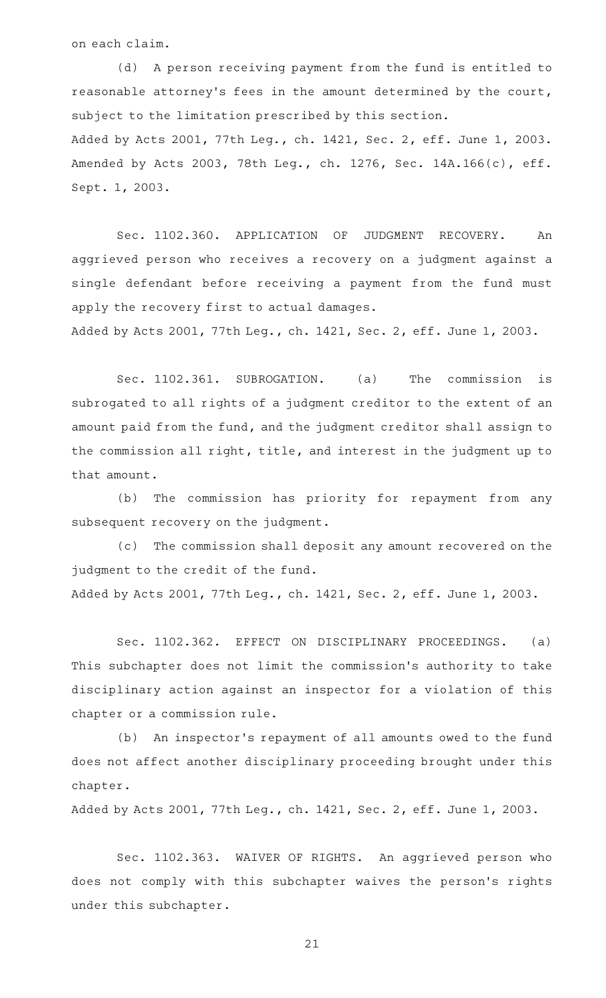on each claim.

(d) A person receiving payment from the fund is entitled to reasonable attorney's fees in the amount determined by the court, subject to the limitation prescribed by this section. Added by Acts 2001, 77th Leg., ch. 1421, Sec. 2, eff. June 1, 2003. Amended by Acts 2003, 78th Leg., ch. 1276, Sec. 14A.166(c), eff. Sept. 1, 2003.

Sec. 1102.360. APPLICATION OF JUDGMENT RECOVERY. An aggrieved person who receives a recovery on a judgment against a single defendant before receiving a payment from the fund must apply the recovery first to actual damages.

Added by Acts 2001, 77th Leg., ch. 1421, Sec. 2, eff. June 1, 2003.

Sec. 1102.361. SUBROGATION. (a) The commission is subrogated to all rights of a judgment creditor to the extent of an amount paid from the fund, and the judgment creditor shall assign to the commission all right, title, and interest in the judgment up to that amount.

(b) The commission has priority for repayment from any subsequent recovery on the judgment.

(c) The commission shall deposit any amount recovered on the judgment to the credit of the fund.

Added by Acts 2001, 77th Leg., ch. 1421, Sec. 2, eff. June 1, 2003.

Sec. 1102.362. EFFECT ON DISCIPLINARY PROCEEDINGS. (a) This subchapter does not limit the commission 's authority to take disciplinary action against an inspector for a violation of this chapter or a commission rule.

(b) An inspector's repayment of all amounts owed to the fund does not affect another disciplinary proceeding brought under this chapter.

Added by Acts 2001, 77th Leg., ch. 1421, Sec. 2, eff. June 1, 2003.

Sec. 1102.363. WAIVER OF RIGHTS. An aggrieved person who does not comply with this subchapter waives the person's rights under this subchapter.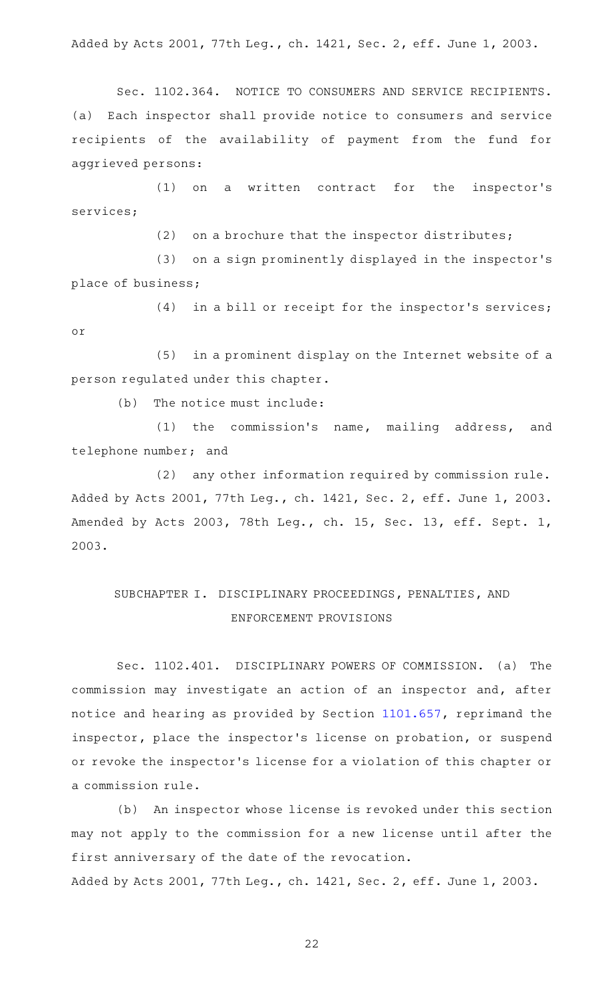Added by Acts 2001, 77th Leg., ch. 1421, Sec. 2, eff. June 1, 2003.

Sec. 1102.364. NOTICE TO CONSUMERS AND SERVICE RECIPIENTS. (a) Each inspector shall provide notice to consumers and service recipients of the availability of payment from the fund for aggrieved persons:

(1) on a written contract for the inspector's services;

(2) on a brochure that the inspector distributes;

(3) on a sign prominently displayed in the inspector's place of business;

(4) in a bill or receipt for the inspector's services; or

(5) in a prominent display on the Internet website of a person regulated under this chapter.

 $(b)$  The notice must include:

(1) the commission's name, mailing address, and telephone number; and

(2) any other information required by commission rule. Added by Acts 2001, 77th Leg., ch. 1421, Sec. 2, eff. June 1, 2003. Amended by Acts 2003, 78th Leg., ch. 15, Sec. 13, eff. Sept. 1, 2003.

# SUBCHAPTER I. DISCIPLINARY PROCEEDINGS, PENALTIES, AND ENFORCEMENT PROVISIONS

Sec. 1102.401. DISCIPLINARY POWERS OF COMMISSION. (a) The commission may investigate an action of an inspector and, after notice and hearing as provided by Section [1101.657,](http://www.statutes.legis.state.tx.us/GetStatute.aspx?Code=OC&Value=1101.657) reprimand the inspector, place the inspector 's license on probation, or suspend or revoke the inspector 's license for a violation of this chapter or a commission rule.

(b) An inspector whose license is revoked under this section may not apply to the commission for a new license until after the first anniversary of the date of the revocation. Added by Acts 2001, 77th Leg., ch. 1421, Sec. 2, eff. June 1, 2003.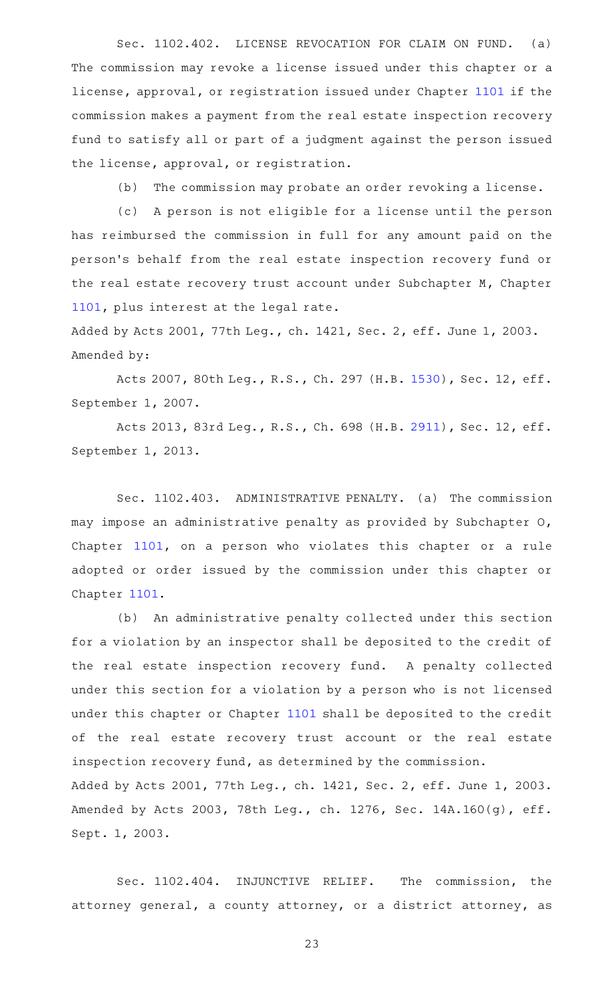Sec. 1102.402. LICENSE REVOCATION FOR CLAIM ON FUND. (a) The commission may revoke a license issued under this chapter or a license, approval, or registration issued under Chapter [1101](http://www.statutes.legis.state.tx.us/GetStatute.aspx?Code=OC&Value=1101) if the commission makes a payment from the real estate inspection recovery fund to satisfy all or part of a judgment against the person issued the license, approval, or registration.

(b) The commission may probate an order revoking a license.

(c) A person is not eligible for a license until the person has reimbursed the commission in full for any amount paid on the person 's behalf from the real estate inspection recovery fund or the real estate recovery trust account under Subchapter M, Chapter [1101](http://www.statutes.legis.state.tx.us/GetStatute.aspx?Code=OC&Value=1101), plus interest at the legal rate.

Added by Acts 2001, 77th Leg., ch. 1421, Sec. 2, eff. June 1, 2003. Amended by:

Acts 2007, 80th Leg., R.S., Ch. 297 (H.B. [1530\)](http://www.legis.state.tx.us/tlodocs/80R/billtext/html/HB01530F.HTM), Sec. 12, eff. September 1, 2007.

Acts 2013, 83rd Leg., R.S., Ch. 698 (H.B. [2911\)](http://www.legis.state.tx.us/tlodocs/83R/billtext/html/HB02911F.HTM), Sec. 12, eff. September 1, 2013.

Sec. 1102.403. ADMINISTRATIVE PENALTY. (a) The commission may impose an administrative penalty as provided by Subchapter O, Chapter [1101,](http://www.statutes.legis.state.tx.us/GetStatute.aspx?Code=OC&Value=1101) on a person who violates this chapter or a rule adopted or order issued by the commission under this chapter or Chapter [1101](http://www.statutes.legis.state.tx.us/GetStatute.aspx?Code=OC&Value=1101).

(b) An administrative penalty collected under this section for a violation by an inspector shall be deposited to the credit of the real estate inspection recovery fund. A penalty collected under this section for a violation by a person who is not licensed under this chapter or Chapter [1101](http://www.statutes.legis.state.tx.us/GetStatute.aspx?Code=OC&Value=1101) shall be deposited to the credit of the real estate recovery trust account or the real estate inspection recovery fund, as determined by the commission. Added by Acts 2001, 77th Leg., ch. 1421, Sec. 2, eff. June 1, 2003. Amended by Acts 2003, 78th Leg., ch. 1276, Sec. 14A.160(g), eff. Sept. 1, 2003.

Sec. 1102.404. INJUNCTIVE RELIEF. The commission, the attorney general, a county attorney, or a district attorney, as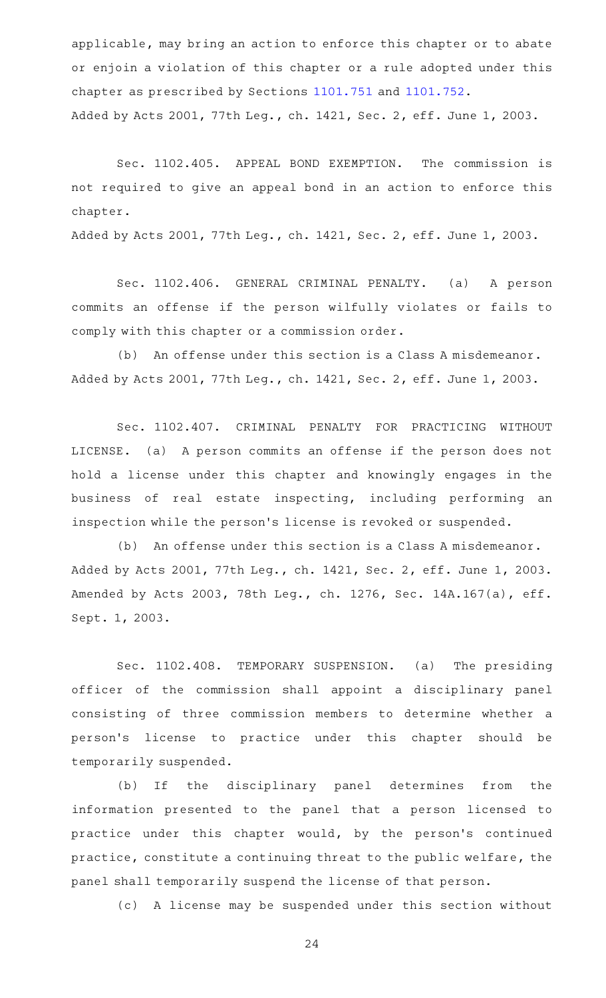applicable, may bring an action to enforce this chapter or to abate or enjoin a violation of this chapter or a rule adopted under this chapter as prescribed by Sections [1101.751](http://www.statutes.legis.state.tx.us/GetStatute.aspx?Code=OC&Value=1101.751) and [1101.752.](http://www.statutes.legis.state.tx.us/GetStatute.aspx?Code=OC&Value=1101.752) Added by Acts 2001, 77th Leg., ch. 1421, Sec. 2, eff. June 1, 2003.

Sec. 1102.405. APPEAL BOND EXEMPTION. The commission is not required to give an appeal bond in an action to enforce this chapter.

Added by Acts 2001, 77th Leg., ch. 1421, Sec. 2, eff. June 1, 2003.

Sec. 1102.406. GENERAL CRIMINAL PENALTY. (a) A person commits an offense if the person wilfully violates or fails to comply with this chapter or a commission order.

(b) An offense under this section is a Class A misdemeanor. Added by Acts 2001, 77th Leg., ch. 1421, Sec. 2, eff. June 1, 2003.

Sec. 1102.407. CRIMINAL PENALTY FOR PRACTICING WITHOUT LICENSE. (a) A person commits an offense if the person does not hold a license under this chapter and knowingly engages in the business of real estate inspecting, including performing an inspection while the person 's license is revoked or suspended.

(b) An offense under this section is a Class A misdemeanor. Added by Acts 2001, 77th Leg., ch. 1421, Sec. 2, eff. June 1, 2003. Amended by Acts 2003, 78th Leg., ch. 1276, Sec. 14A.167(a), eff. Sept. 1, 2003.

Sec. 1102.408. TEMPORARY SUSPENSION. (a) The presiding officer of the commission shall appoint a disciplinary panel consisting of three commission members to determine whether a person 's license to practice under this chapter should be temporarily suspended.

(b) If the disciplinary panel determines from the information presented to the panel that a person licensed to practice under this chapter would, by the person's continued practice, constitute a continuing threat to the public welfare, the panel shall temporarily suspend the license of that person.

(c)AAA license may be suspended under this section without